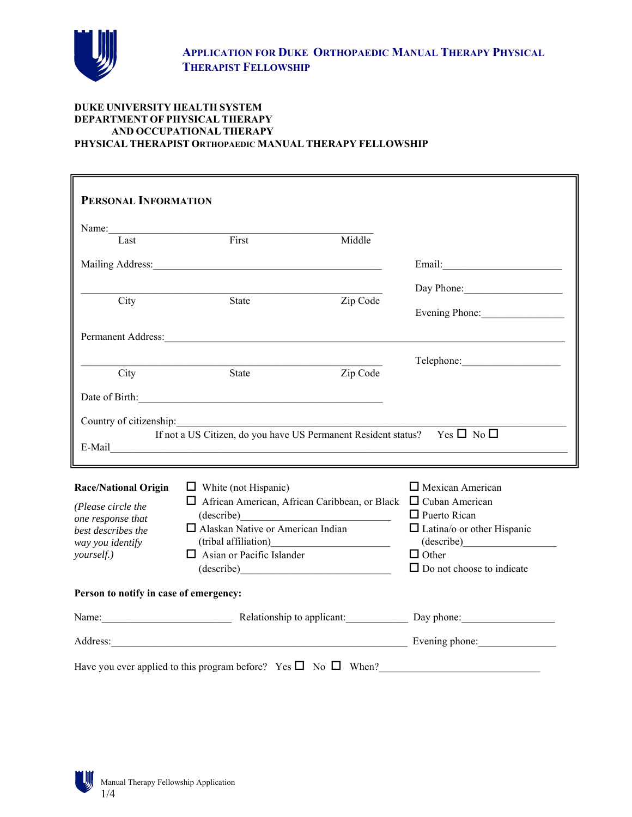

#### **DUKE UNIVERSITY HEALTH SYSTEM DEPARTMENT OF PHYSICAL THERAPY AND OCCUPATIONAL THERAPY PHYSICAL THERAPIST ORTHOPAEDIC MANUAL THERAPY FELLOWSHIP**

| PERSONAL INFORMATION                   |                                                                                                                                                                                                                                |                     |                                                 |
|----------------------------------------|--------------------------------------------------------------------------------------------------------------------------------------------------------------------------------------------------------------------------------|---------------------|-------------------------------------------------|
|                                        |                                                                                                                                                                                                                                |                     |                                                 |
| Last                                   | First                                                                                                                                                                                                                          | Middle              |                                                 |
|                                        |                                                                                                                                                                                                                                |                     |                                                 |
|                                        |                                                                                                                                                                                                                                |                     | Day Phone:                                      |
| City                                   | State                                                                                                                                                                                                                          | Zip Code            | Evening Phone:                                  |
|                                        |                                                                                                                                                                                                                                |                     |                                                 |
|                                        |                                                                                                                                                                                                                                |                     |                                                 |
| City                                   | State                                                                                                                                                                                                                          | Zip Code            |                                                 |
|                                        | Date of Birth: <u>Charles and State of Birth:</u>                                                                                                                                                                              |                     |                                                 |
|                                        | If not a US Citizen, do you have US Permanent Resident status? Yes $\square$ No $\square$                                                                                                                                      |                     |                                                 |
|                                        | E-Mail Particular Contract Contract Contract Contract Contract Contract Contract Contract Contract Contract Contract Contract Contract Contract Contract Contract Contract Contract Contract Contract Contract Contract Contra |                     |                                                 |
| <b>Race/National Origin</b>            | $\Box$ White (not Hispanic)                                                                                                                                                                                                    |                     | $\Box$ Mexican American                         |
| (Please circle the                     | $\Box$ African American, African Caribbean, or Black $\Box$ Cuban American                                                                                                                                                     |                     |                                                 |
| one response that                      | (describe) expansion of the contract of the contract of the contract of the contract of the contract of the contract of the contract of the contract of the contract of the contract of the contract of the contract of the co | $\Box$ Puerto Rican |                                                 |
| best describes the<br>way you identify | $\Box$ Alaskan Native or American Indian                                                                                                                                                                                       |                     | $\Box$ Latina/o or other Hispanic<br>(describe) |
| yourself.)                             | $\Box$ Asian or Pacific Islander                                                                                                                                                                                               | $\Box$ Other        |                                                 |
| (describe)                             |                                                                                                                                                                                                                                |                     |                                                 |
|                                        |                                                                                                                                                                                                                                |                     | $\Box$ Do not choose to indicate                |
| Person to notify in case of emergency: |                                                                                                                                                                                                                                |                     |                                                 |
|                                        | Name: Day phone: Relationship to applicant: Day phone: Day phone:                                                                                                                                                              |                     |                                                 |
|                                        | Address: Evening phone: Evening phone:                                                                                                                                                                                         |                     |                                                 |

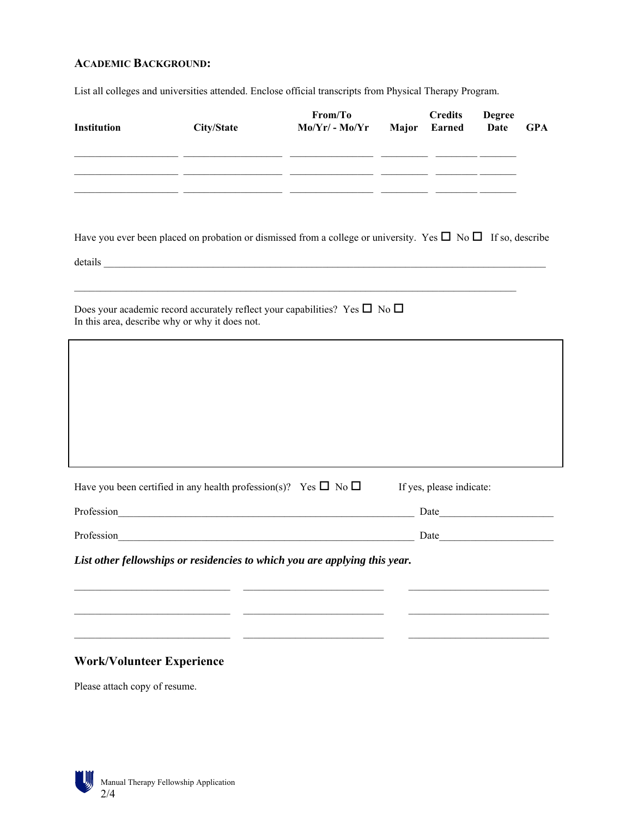# **ACADEMIC BACKGROUND:**

List all colleges and universities attended. Enclose official transcripts from Physical Therapy Program.

| Institution                      | City/State                                                                      | From/To<br>Mo/Yr/ - Mo/Yr Major                                                                                                                                                                                                                      | <b>Credits</b><br>Earned | <b>Degree</b><br><b>Date</b> | <b>GPA</b> |
|----------------------------------|---------------------------------------------------------------------------------|------------------------------------------------------------------------------------------------------------------------------------------------------------------------------------------------------------------------------------------------------|--------------------------|------------------------------|------------|
|                                  |                                                                                 | <u> 1990 - Jan James James James (f. 1900)</u><br><u> 1999 - Jan James James, francuski politik (d. 1989)</u>                                                                                                                                        |                          |                              |            |
|                                  |                                                                                 | <u> 2000 - 2000 - 2000 - 2000 - 2000 - 2000 - 2000 - 2000 - 2000 - 2000 - 2000 - 2000 - 2000 - 2000 - 2000 - 200</u><br>Have you ever been placed on probation or dismissed from a college or university. Yes $\square$ No $\square$ If so, describe |                          |                              |            |
|                                  | In this area, describe why or why it does not.                                  | Does your academic record accurately reflect your capabilities? Yes $\square$ No $\square$                                                                                                                                                           |                          |                              |            |
|                                  |                                                                                 |                                                                                                                                                                                                                                                      |                          |                              |            |
|                                  |                                                                                 |                                                                                                                                                                                                                                                      |                          |                              |            |
|                                  |                                                                                 |                                                                                                                                                                                                                                                      |                          |                              |            |
|                                  | Have you been certified in any health profession(s)? Yes $\square$ No $\square$ |                                                                                                                                                                                                                                                      | If yes, please indicate: |                              |            |
|                                  |                                                                                 | Profession Date Date                                                                                                                                                                                                                                 |                          |                              |            |
|                                  |                                                                                 |                                                                                                                                                                                                                                                      |                          |                              |            |
|                                  |                                                                                 | List other fellowships or residencies to which you are applying this year.                                                                                                                                                                           |                          |                              |            |
|                                  |                                                                                 |                                                                                                                                                                                                                                                      |                          |                              |            |
|                                  |                                                                                 |                                                                                                                                                                                                                                                      |                          |                              |            |
|                                  |                                                                                 |                                                                                                                                                                                                                                                      |                          |                              |            |
| <b>Work/Volunteer Experience</b> |                                                                                 |                                                                                                                                                                                                                                                      |                          |                              |            |

Please attach copy of resume.

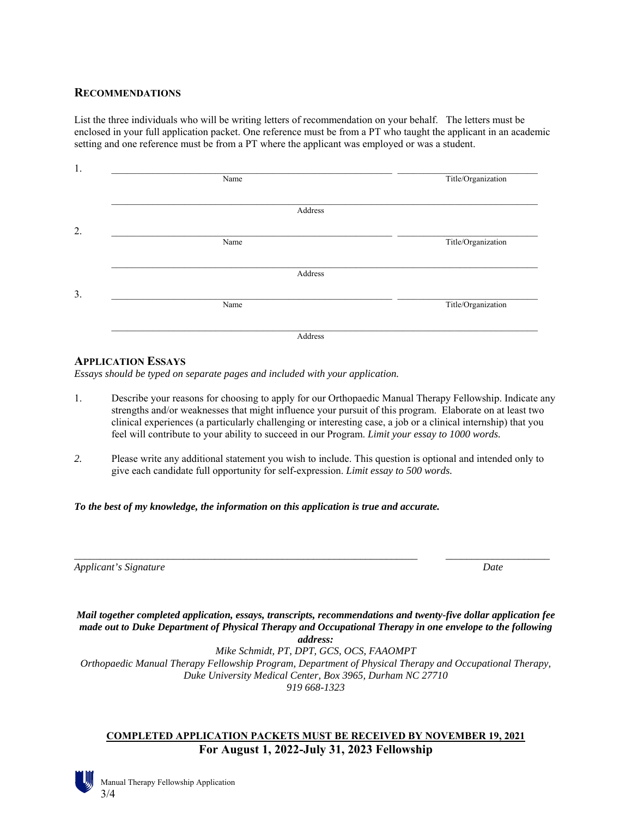### **RECOMMENDATIONS**

List the three individuals who will be writing letters of recommendation on your behalf. The letters must be enclosed in your full application packet. One reference must be from a PT who taught the applicant in an academic setting and one reference must be from a PT where the applicant was employed or was a student.

| Name    | Title/Organization |
|---------|--------------------|
|         |                    |
| Address |                    |
|         |                    |
| Name    | Title/Organization |
|         |                    |
| Address |                    |
|         |                    |
| Name    | Title/Organization |
|         |                    |
| Address |                    |

#### **APPLICATION ESSAYS**

*Essays should be typed on separate pages and included with your application.*

- 1. Describe your reasons for choosing to apply for our Orthopaedic Manual Therapy Fellowship. Indicate any strengths and/or weaknesses that might influence your pursuit of this program. Elaborate on at least two clinical experiences (a particularly challenging or interesting case, a job or a clinical internship) that you feel will contribute to your ability to succeed in our Program. *Limit your essay to 1000 words.*
- *2.* Please write any additional statement you wish to include. This question is optional and intended only to give each candidate full opportunity for self-expression. *Limit essay to 500 words.*

#### *To the best of my knowledge, the information on this application is true and accurate.*

| Applicant's Signature | Date |
|-----------------------|------|
|-----------------------|------|

*Mail together completed application, essays, transcripts, recommendations and twenty-five dollar application fee made out to Duke Department of Physical Therapy and Occupational Therapy in one envelope to the following address:*

*\_\_\_\_\_\_\_\_\_\_\_\_\_\_\_\_\_\_\_\_\_\_\_\_\_\_\_\_\_\_\_\_\_\_\_\_\_\_\_\_\_\_\_\_\_\_\_\_\_\_\_\_\_\_\_\_\_\_\_\_\_\_\_\_\_\_ \_\_\_\_\_\_\_\_\_\_\_\_\_\_\_\_\_\_\_\_* 

*Mike Schmidt, PT, DPT, GCS, OCS, FAAOMPT Orthopaedic Manual Therapy Fellowship Program, Department of Physical Therapy and Occupational Therapy, Duke University Medical Center, Box 3965, Durham NC 27710 919 668-1323* 

# **COMPLETED APPLICATION PACKETS MUST BE RECEIVED BY NOVEMBER 19, 2021 For August 1, 2022-July 31, 2023 Fellowship**